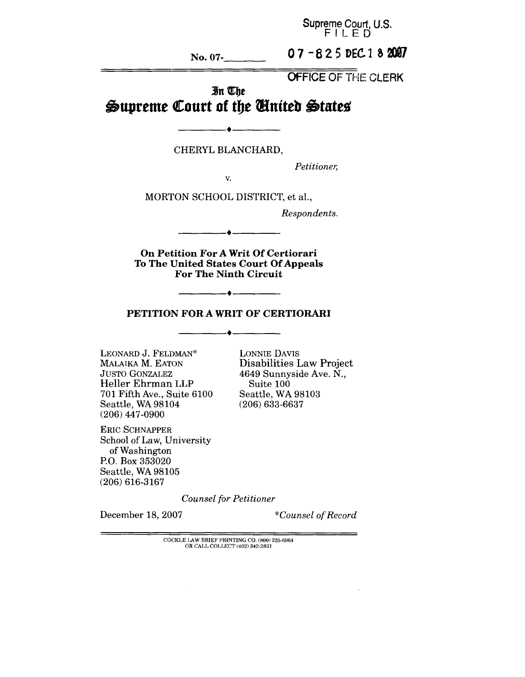**Supreme Court, U.S.** FILED

**No. 07-**

07-825 DEC 18 2007

OFFICE OF THE CLERK

# In The Supreme Court of the *United* States

 $\bullet$ 

CHERYL BLANCHARD,

*Petitioner,*

V.

MORTON SCHOOL DISTRICT, et al.,

*Respondents.*

**On Petition For A Writ Of Certiorari To The United States Court Of Appeals For The Ninth Circuit**

#### **PETITION FOR A WRIT OF CERTIORARI**

 $\bullet$  —

LEONARD J. FELDMAN\* MALAIKA M. EATON JUSTO GONZALEZ Heller Ehrman LLP 701 Fifth Ave., Suite 6100 Seattle, WA 98104 (206) 447-0900

LONNIE DAVIS **Disabilities Law Project** 4649 Sunnyside Ave. N., Suite 100 Seattle, WA 98103 (206) 633-6637

ERIC SCHNAPPER School of Law, University of Washington P.O. Box 353020 Seattle, WA 98105 (206) 616-3167

*Counsel for Petitioner*

December 18, 2007 *\*Counsel of Record*

COCKLE LAW BRIEF PRINTING CO. (800) 225-6964 OR CALL COLLECT (402) 342-2831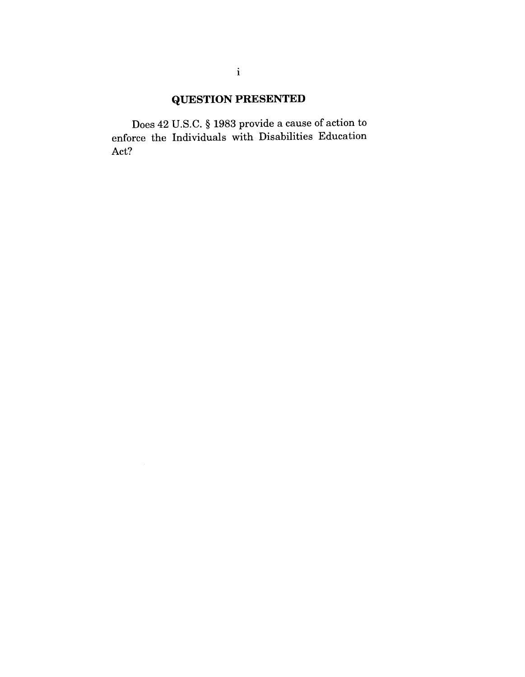# **QUESTION PRESENTED**

Does 42 U.S.C. § 1983 provide a cause of action to enforce the Individuals with Disabilities Education Act?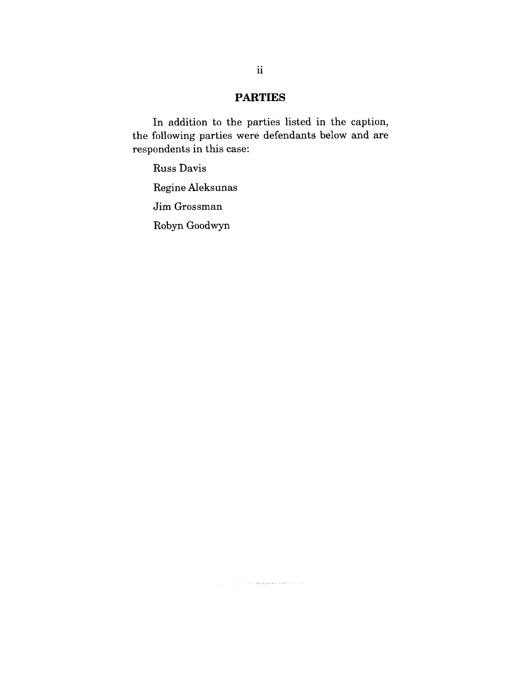# **PARTIES**

In addition to the parties listed in the caption, the following parties were defendants below and are respondents in this case:

.<br>1960 - Jacob Land, amerikansk prinses (\* 1831)

Russ Davis

Regine Aleksunas

Jim Grossman

Robyn Goodwyn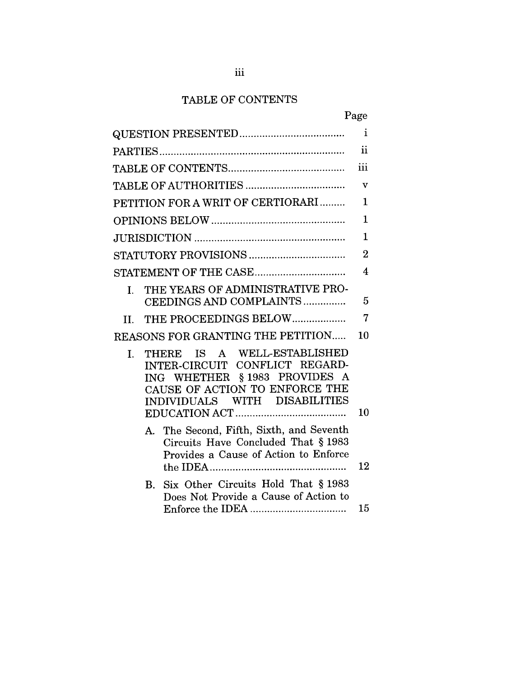# TABLE OF CONTENTS

|                                                                                                                                                                        | Page                    |
|------------------------------------------------------------------------------------------------------------------------------------------------------------------------|-------------------------|
|                                                                                                                                                                        | $\mathbf i$             |
|                                                                                                                                                                        | $\ddot{\mathbf{i}}$     |
|                                                                                                                                                                        | iii                     |
|                                                                                                                                                                        | v                       |
| PETITION FOR A WRIT OF CERTIORARI                                                                                                                                      | 1                       |
|                                                                                                                                                                        | $\mathbf{1}$            |
|                                                                                                                                                                        | $\mathbf 1$             |
|                                                                                                                                                                        | $\overline{2}$          |
|                                                                                                                                                                        | $\overline{\mathbf{4}}$ |
| THE YEARS OF ADMINISTRATIVE PRO-<br>L.                                                                                                                                 |                         |
| CEEDINGS AND COMPLAINTS                                                                                                                                                | 5                       |
| II. THE PROCEEDINGS BELOW                                                                                                                                              | 7                       |
| REASONS FOR GRANTING THE PETITION                                                                                                                                      | 10                      |
| THERE IS A WELL-ESTABLISHED<br>L.<br>INTER-CIRCUIT CONFLICT REGARD-<br>ING WHETHER §1983 PROVIDES A<br>CAUSE OF ACTION TO ENFORCE THE<br>INDIVIDUALS WITH DISABILITIES | 10                      |
| A. The Second, Fifth, Sixth, and Seventh<br>Circuits Have Concluded That § 1983<br>Provides a Cause of Action to Enforce                                               | 12                      |
| Six Other Circuits Hold That § 1983<br>$\mathbf{B}_{\cdot}$<br>Does Not Provide a Cause of Action to                                                                   | 15                      |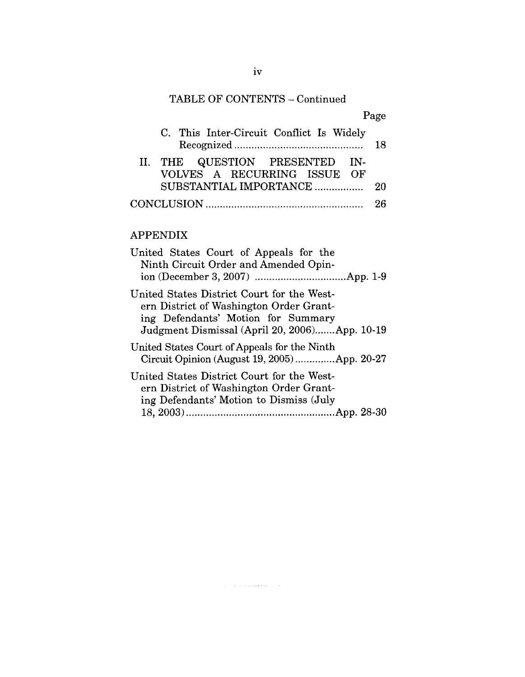# TABLE OF CONTENTS - Continued

| Page                                                          |     |
|---------------------------------------------------------------|-----|
| C. This Inter-Circuit Conflict Is Widely                      | 18  |
| II. THE QUESTION PRESENTED IN-<br>VOLVES A RECURRING ISSUE OF |     |
| SUBSTANTIAL IMPORTANCE                                        | -20 |
|                                                               | 26  |

# APPENDIX

| United States Court of Appeals for the<br>Ninth Circuit Order and Amended Opin-                                                                                              |
|------------------------------------------------------------------------------------------------------------------------------------------------------------------------------|
| United States District Court for the West-<br>ern District of Washington Order Grant-<br>ing Defendants' Motion for Summary<br>Judgment Dismissal (April 20, 2006)App. 10-19 |
| United States Court of Appeals for the Ninth<br>Circuit Opinion (August 19, 2005)App. 20-27                                                                                  |
| United States District Court for the West-<br>ern District of Washington Order Grant-<br>ing Defendants' Motion to Dismiss (July                                             |

 $\label{eq:1.1} \hat{\rho}(\vec{z}) = \hat{\rho}(\vec{z}) = \hat{\rho}(\vec{z}) + \hat{\rho}(\vec{z}) \exp\left(i \sqrt{\Phi}(\vec{y}) \hat{\rho}(\vec{\theta}) + \hat{\rho}(\vec{z}) - \hat{\rho}(\vec{z})\right)$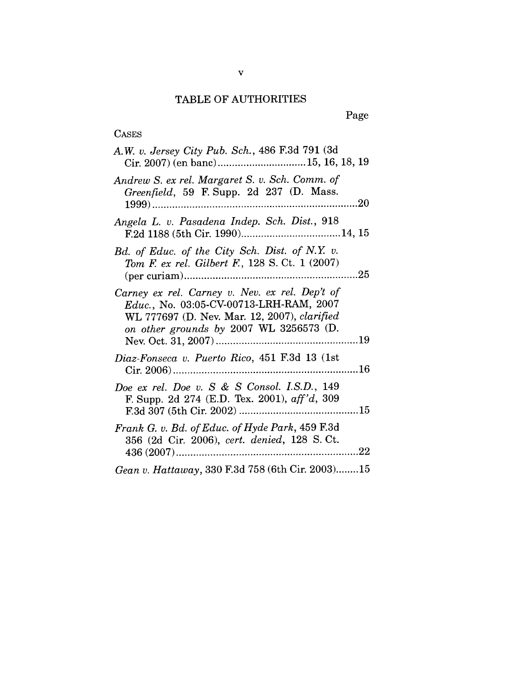## TABLE OF AUTHORITIES

| <b>CASES</b>                                                                                                                                                                         |
|--------------------------------------------------------------------------------------------------------------------------------------------------------------------------------------|
| A.W. v. Jersey City Pub. Sch., 486 F.3d 791 (3d<br>Cir. 2007) (en banc)15, 16, 18, 19                                                                                                |
| Andrew S. ex rel. Margaret S. v. Sch. Comm. of<br>Greenfield, 59 F. Supp. 2d 237 (D. Mass.                                                                                           |
| Angela L. v. Pasadena Indep. Sch. Dist., 918                                                                                                                                         |
| Bd. of Educ. of the City Sch. Dist. of N.Y. v.<br>Tom F. ex rel. Gilbert F., 128 S. Ct. 1 (2007)                                                                                     |
| Carney ex rel. Carney v. Nev. ex rel. Dep't of<br>Educ., No. 03:05-CV-00713-LRH-RAM, 2007<br>WL 777697 (D. Nev. Mar. 12, 2007), clarified<br>on other grounds by 2007 WL 3256573 (D. |
| Diaz-Fonseca v. Puerto Rico, 451 F.3d 13 (1st                                                                                                                                        |
| Doe ex rel. Doe v. S & S Consol. I.S.D., 149<br>F. Supp. 2d 274 (E.D. Tex. 2001), $aff'd$ , 309                                                                                      |
| Frank G. v. Bd. of Educ. of Hyde Park, 459 F.3d<br>356 (2d Cir. 2006), cert. denied, 128 S. Ct.                                                                                      |
| Gean v. Hattaway, 330 F.3d 758 (6th Cir. 2003)15                                                                                                                                     |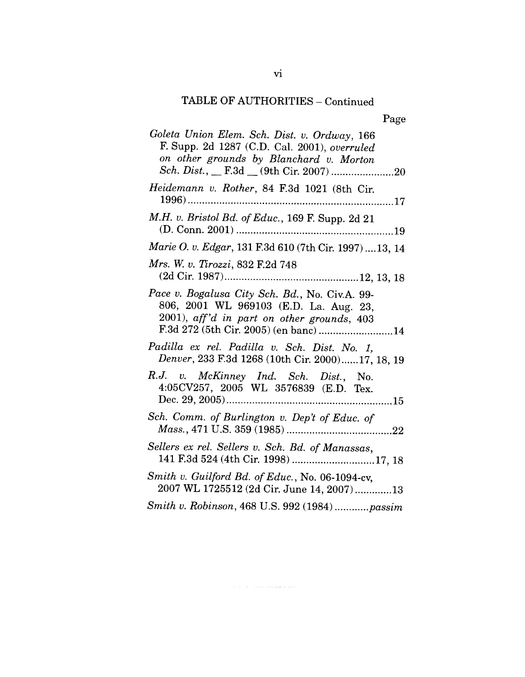# TABLE OF AUTHORITIES - Continued

| Goleta Union Elem. Sch. Dist. v. Ordway, 166<br>F. Supp. 2d 1287 (C.D. Cal. 2001), overruled<br>on other grounds by Blanchard v. Morton<br>Sch. Dist., __ F.3d __ (9th Cir. 2007) 20 |
|--------------------------------------------------------------------------------------------------------------------------------------------------------------------------------------|
| Heidemann v. Rother, 84 F.3d 1021 (8th Cir.                                                                                                                                          |
| M.H. v. Bristol Bd. of Educ., 169 F. Supp. 2d 21                                                                                                                                     |
| Marie O. v. Edgar, 131 F.3d 610 (7th Cir. 1997)  13, 14                                                                                                                              |
| Mrs. W. v. Tirozzi, 832 F.2d 748                                                                                                                                                     |
| Pace v. Bogalusa City Sch. Bd., No. Civ.A. 99-<br>806, 2001 WL 969103 (E.D. La. Aug. 23,<br>2001), aff'd in part on other grounds, 403<br>F.3d 272 (5th Cir. 2005) (en banc) 14      |
| Padilla ex rel. Padilla v. Sch. Dist. No. 1,<br>Denver, 233 F.3d 1268 (10th Cir. 2000)17, 18, 19                                                                                     |
| R.J. v. McKinney Ind. Sch. Dist., No.<br>4:05CV257, 2005 WL 3576839 (E.D. Tex.                                                                                                       |
| Sch. Comm. of Burlington v. Dep't of Educ. of                                                                                                                                        |
| Sellers ex rel. Sellers v. Sch. Bd. of Manassas,<br>141 F.3d 524 (4th Cir. 1998) 17, 18                                                                                              |
| Smith v. Guilford Bd. of Educ., No. 06-1094-cv,<br>2007 WL 1725512 (2d Cir. June 14, 2007)13                                                                                         |
| Smith v. Robinson, 468 U.S. 992 (1984)passim                                                                                                                                         |

 $\label{eq:1} \hat{\psi}_{\pm}(x) = \hat{\psi}_{\pm} - \hat{\psi}_{\pm} - \hat{\psi}_{\pm} \hat{\psi}_{\pm} \hat{\psi}_{\pm} \hat{\psi}_{\pm} \hat{\psi}_{\pm} \hat{\psi}_{\pm} \hat{\psi}_{\pm} \hat{\psi}_{\pm} \hat{\psi}_{\pm} \hat{\psi}_{\pm} \hat{\psi}_{\pm} \hat{\psi}_{\pm} \hat{\psi}_{\pm} \hat{\psi}_{\pm} \hat{\psi}_{\pm} \hat{\psi}_{\pm} \hat{\psi}_{\pm} \hat{\psi}_{\pm} \hat{\psi}_{\pm} \hat{\psi}_{\pm} \hat{\psi}_{\pm} \hat{\psi}_{\pm} \hat{\psi}_{\pm}$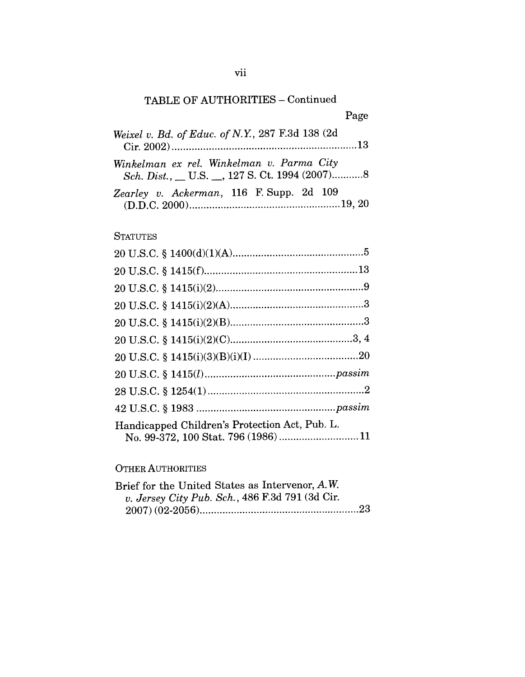# TABLE OF AUTHORITIES - Continued

| Weixel v. Bd. of Educ. of N.Y., 287 F.3d 138 (2d                                             |  |
|----------------------------------------------------------------------------------------------|--|
| Winkelman ex rel. Winkelman v. Parma City<br>Sch. Dist., __ U.S. __, 127 S. Ct. 1994 (2007)8 |  |
| Zearley v. Ackerman, 116 F. Supp. 2d 109                                                     |  |

## **STATUTES**

| Handicapped Children's Protection Act, Pub. L. |  |
|------------------------------------------------|--|

## OTHER AUTHORITIES

| Brief for the United States as Intervenor, A.W. |  |
|-------------------------------------------------|--|
| v. Jersey City Pub. Sch., 486 F.3d 791 (3d Cir. |  |
|                                                 |  |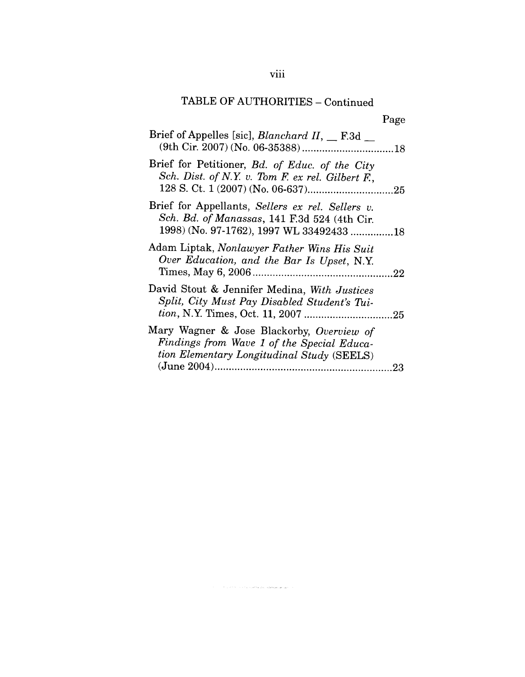# TABLE OF AUTHORITIES - Continued

| Brief of Appelles [sic], <i>Blanchard II</i> , F.3d                                                                                          |    |
|----------------------------------------------------------------------------------------------------------------------------------------------|----|
| Brief for Petitioner, Bd. of Educ. of the City<br>Sch. Dist. of N.Y. v. Tom F. ex rel. Gilbert F.,                                           |    |
| Brief for Appellants, Sellers ex rel. Sellers v.<br>Sch. Bd. of Manassas, 141 F.3d 524 (4th Cir.<br>1998) (No. 97-1762), 1997 WL 33492433 18 |    |
| Adam Liptak, Nonlawyer Father Wins His Suit<br>Over Education, and the Bar Is Upset, N.Y.                                                    |    |
| David Stout & Jennifer Medina, With Justices<br>Split, City Must Pay Disabled Student's Tui-                                                 |    |
| Mary Wagner & Jose Blackorby, Overview of<br>Findings from Wave 1 of the Special Educa-<br>tion Elementary Longitudinal Study (SEELS)        | 23 |

.<br>Talih menjadi kali mengangkan pada tahun 1990 dan menjadi kali menjadi kali menjadi kali menjadi kali menjadi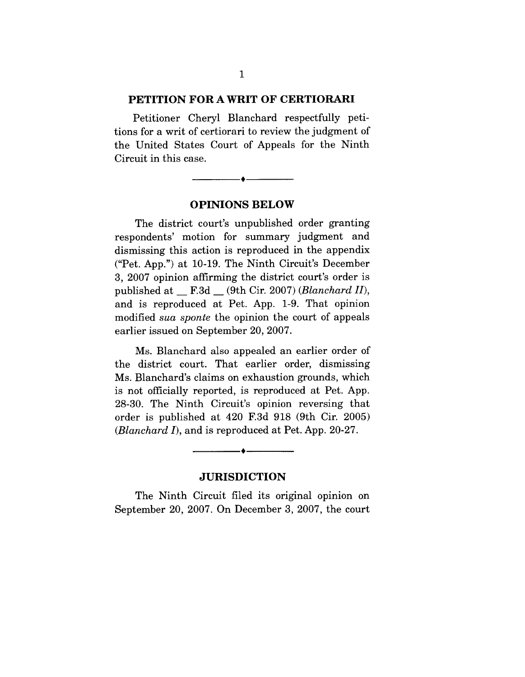#### **PETITION FOR A WRIT OF CERTIORARI**

Petitioner Cheryl Blanchard respectfully petitions for a writ of certiorari to review the judgment of the United States Court of Appeals for the Ninth Circuit in this case.

**OPINIONS BELOW**

۵.

The district court's unpublished order granting respondents' motion for summary judgment and dismissing this action is reproduced in the appendix ("Pet. App.") at 10-19. The Ninth Circuit's December 3, 2007 opinion affirming the district court's order is published at \_\_ F.3d \_\_ (9th Cir. 2007) *(Blanchard* H), and is reproduced at Pet. App. 1-9. That opinion modified *sua sponte* the opinion the court of appeals earlier issued on September 20, 2007.

Ms. Blanchard also appealed an earlier order of the district court. That earlier order, dismissing Ms. Blanchard's claims on exhaustion grounds, which is not officially reported, is reproduced at Pet. App. 28-30. The Ninth Circuit's opinion reversing that order is published at 420 F.3d 918 (9th Cir. 2005) *(Blanchard* I), and is reproduced at Pet. App. 20-27.

### **JURISDICTION**

۰▲.

The Ninth Circuit filed its original opinion on September 20, 2007. On December 3, 2007, the court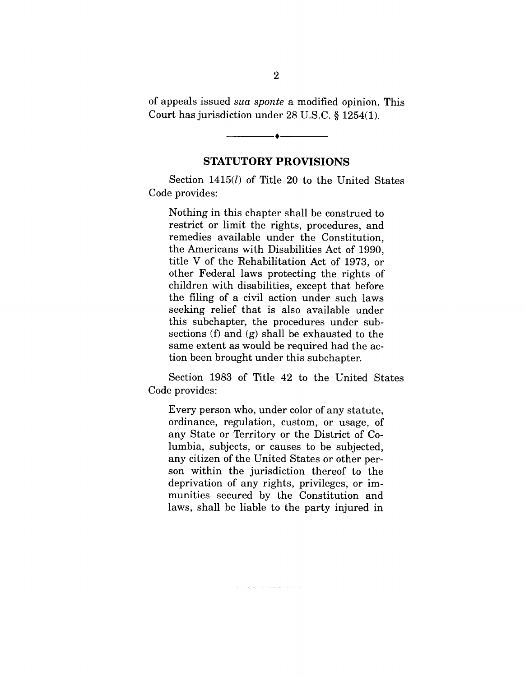of appeals issued *sua sponte* a modified opinion. This Court has jurisdiction under 28 U.S.C. § 1254(1).

#### **STATUTORY PROVISIONS**

Section 1415(*l*) of Title 20 to the United States Code provides:

Nothing in this chapter shall be construed to restrict or limit the rights, procedures, and remedies available under the Constitution, the Americans with Disabilities Act of 1990, title V of the Rehabilitation Act of 1973, or other Federal laws protecting the rights of children with disabilities, except that before the filing of a civil action under such laws seeking relief that is also available under this subchapter, the procedures under subsections (f) and (g) shall be exhausted to the same extent as would be required had the action been brought under this subchapter.

Section 1983 of Title 42 to the United States Code provides:

Every person who, under color of any statute, ordinance, regulation, custom, or usage, of any State or Territory or the District of Columbia, subjects, or causes to be subjected, any citizen of the United States or other person within the jurisdiction thereof to the deprivation of any rights, privileges, or immunities secured by the Constitution and laws, shall be liable to the party injured in

 $\label{eq:12} \tau_{\rm{M}} = \alpha \left( \hat{\sigma} - \hat{\sigma}_{\rm{M}} \right) = \hat{\sigma}_{\rm{M}} \hat{\sigma}_{\rm{M}} \hat{\sigma}_{\rm{M}} \hat{\sigma}_{\rm{M}} = \hat{\sigma}_{\rm{M}} \left( \hat{\sigma}_{\rm{M}} \right)$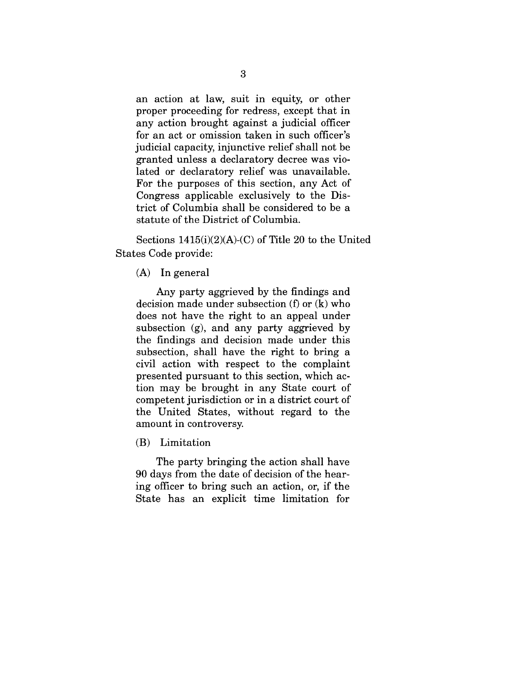an action at law, suit in equity, or other proper proceeding for redress, except that in any action brought against a judicial officer for an act or omission taken in such officer's judicial capacity, injunctive relief shall not be granted unless a declaratory decree was violated or declaratory relief was unavailable. For the purposes of this section, any Act of Congress applicable exclusively to the District of Columbia shall be considered to be a statute of the District of Columbia.

Sections 1415(i)(2)(A)-(C) of Title 20 to the United States Code provide:

(A) In general

Any party aggrieved by the findings and decision made under subsection (f) or (k) who does not have the right to an appeal under subsection (g), and any party aggrieved by the findings and decision made under this subsection, shall have the right to bring a civil action with respect to the complaint presented pursuant to this section, which action may be brought in any State court of competent jurisdiction or in a district court of the United States, without regard to the amount in controversy.

(B) Limitation

The party bringing the action shall have 90 days from the date of decision of the hearing officer to bring such an action, or, if the State has an explicit time limitation for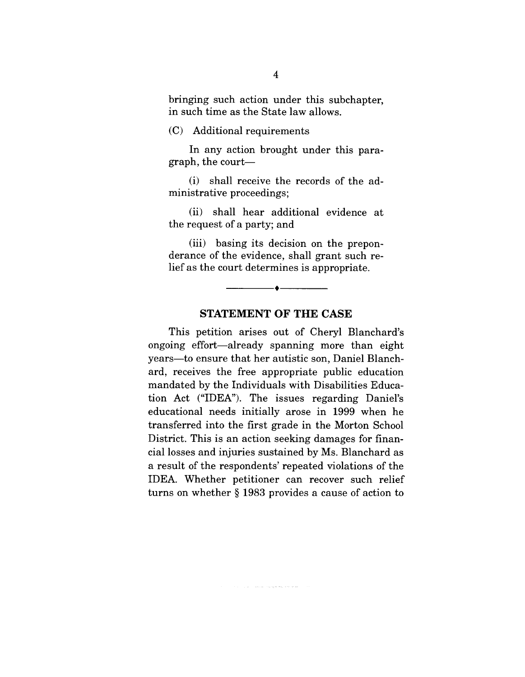bringing such action under this subchapter, in such time as the State law allows.

#### (C) Additional requirements

In any action brought under this paragraph, the court-

(i) shall receive the records of the administrative proceedings;

(ii) shall hear additional evidence at the request of a party; and

(iii) basing its decision on the preponderance of the evidence, shall grant such relief as the court determines is appropriate.

#### **STATEMENT OF THE CASE**

 $\bullet$ 

This petition arises out of Cheryl Blanchard's ongoing effort--already spanning more than eight years--to ensure that her autistic son, Daniel Blanchard, receives the free appropriate public education mandated by the Individuals with Disabilities Education Act ("IDEA"). The issues regarding Daniel's educational needs initially arose in 1999 when he transferred into the first grade in the Morton School District. This is an action seeking damages for financial losses and injuries sustained by Ms. Blanchard as a result of the respondents' repeated violations of the IDEA. Whether petitioner can recover such relief turns on whether § 1983 provides a cause of action to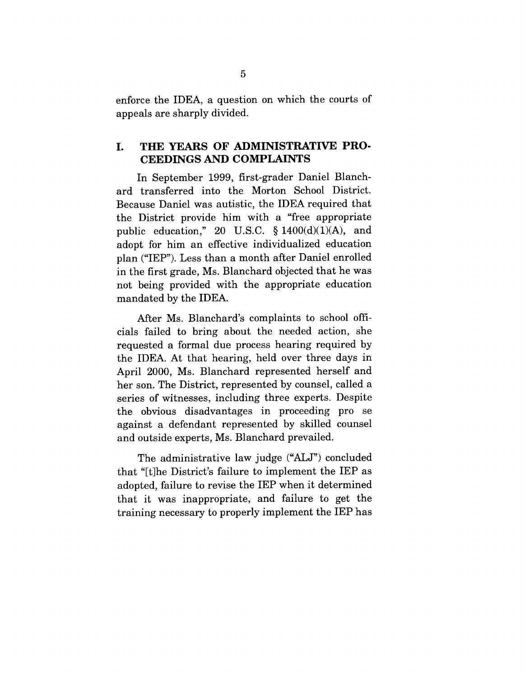enforce the IDEA, a question on which the courts of appeals are sharply divided.

### **I. THE YEARS OF ADMINISTRATIVE PRO-CEEDINGS AND COMPLAINTS**

In September 1999, first-grader Daniel Blanchard transferred into the Morton School District. Because Daniel was autistic, the IDEA required that the District provide him with a "free appropriate public education," 20 U.S.C.  $\S$  1400(d)(1)(A), and adopt for him an effective individualized education plan ("IEP"). Less than a month after Daniel enrolled in the first grade, Ms. Blanchard objected that he was not being provided with the appropriate education mandated by the IDEA.

After Ms. Blanchard's complaints to school officials failed to bring about the needed action, she requested a formal due process hearing required by the IDEA. At that hearing, held over three days in April 2000, Ms. Blanchard represented herself and her son. The District, represented by counsel, called a series of witnesses, including three experts. Despite the obvious disadvantages in proceeding pro se against a defendant represented by skilled counsel and outside experts, Ms. Blanchard prevailed.

The administrative law judge ("ALJ") concluded that "It]he District's failure to implement the IEP as adopted, failure to revise the IEP when it determined that it was inappropriate, and failure to get the training necessary to properly implement the IEP has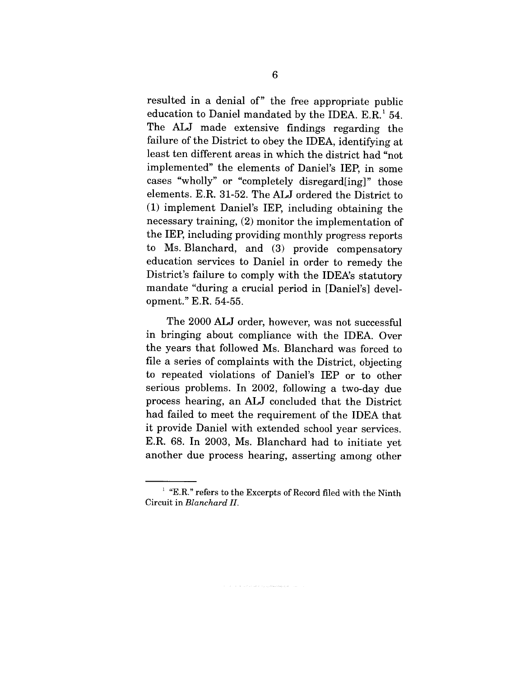resulted in a denial of" the free appropriate public education to Daniel mandated by the IDEA. E.R.<sup>1</sup> 54. The ALJ made extensive findings regarding the failure of the District to obey the IDEA, identifying at least ten different areas in which the district had "not implemented" the elements of Daniel's IEP, in some cases "wholly" or "completely disregard[ing]" those elements. E.R. 31-52. The ALJ ordered the District to (1) implement Daniel's IEP, including obtaining the necessary training, (2) monitor the implementation of the IEP, including providing monthly progress reports to Ms. Blanchard, and (3) provide compensatory education services to Daniel in order to remedy the District's failure to comply with the IDEA's statutory mandate "during a crucial period in [Daniel's] development." E.R. 54-55.

The 2000 ALJ order, however, was not successful in bringing about compliance with the IDEA. Over the years that followed Ms. Blanchard was forced to file a series of complaints with the District, objecting to repeated violations of Daniel's IEP or to other serious problems. In 2002, following a two-day due process hearing, an ALJ concluded that the District had failed to meet the requirement of the IDEA that it provide Daniel with extended school year services. E.R. 68. In 2003, Ms. Blanchard had to initiate yet another due process hearing, asserting among other

 $\hat{\mathcal{L}}_{\text{max}}$  , we can define the contract the contribution of the contract of  $\hat{\mathcal{L}}$ 

 $i$  "E.R." refers to the Excerpts of Record filed with the Ninth Circuit in *Blanchard H.*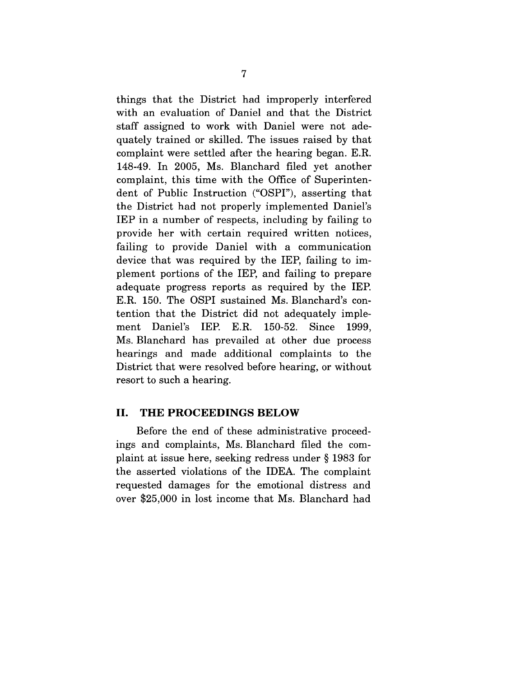things that the District had improperly interfered with an evaluation of Daniel and that the District staff assigned to work with Daniel were not adequately trained or skilled. The issues raised by that complaint were settled after the hearing began. E.R. 148-49. In 2005, Ms. Blanchard filed yet another complaint, this time with the Office of Superintendent of Public Instruction ("OSPI"), asserting that the District had not properly implemented Daniel's IEP in a number of respects, including by failing to provide her with certain required written notices, failing to provide Daniel with a communication device that was required by the IEP, failing to implement portions of the IEP, and failing to prepare adequate progress reports as required by the IEP. E.R. 150. The OSPI sustained Ms. Blanchard's contention that the District did not adequately implement Daniel's IEP. E.R. 150-52. Since 1999, Ms. Blanchard has prevailed at other due process hearings and made additional complaints to the District that were resolved before hearing, or without resort to such a hearing.

#### **II. THE PROCEEDINGS BELOW**

Before the end of these administrative proceedings and complaints, Ms. Blanchard filed the complaint at issue here, seeking redress under § 1983 for the asserted violations of the IDEA. The complaint requested damages for the emotional distress and over \$25,000 in lost income that Ms. Blanchard had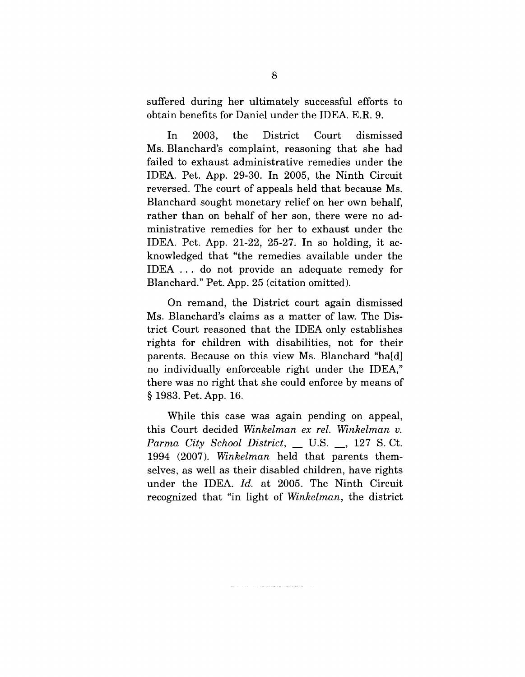suffered during her ultimately successful efforts to obtain benefits for Daniel under the IDEA. E.R. 9.

In 2003, the District Court dismissed Ms. Blanchard's complaint, reasoning that she had failed to exhaust administrative remedies under the IDEA. Pet. App. 29-30. In 2005, the Ninth Circuit reversed. The court of appeals held that because Ms. Blanchard sought monetary relief on her own behalf, rather than on behalf of her son, there were no administrative remedies for her to exhaust under the IDEA. Pet. App. 21-22, 25-27. In so holding, it acknowledged that "the remedies available under the IDEA... do not provide an adequate remedy for Blanchard." Pet. App. 25 (citation omitted).

On remand, the District court again dismissed Ms. Blanchard's claims as a matter of law. The District Court reasoned that the IDEA only establishes rights for children with disabilities, not for their parents. Because on this view Ms. Blanchard "ha[d] no individually enforceable right under the IDEA," there was no right that she could enforce by means of § 1983. Pet. App. 16.

While this case was again pending on appeal, this Court decided *Winkelman ex rel. Winkelman v. Parma City School District, \_\_* U.S. \_\_, 127 S. Ct. 1994 (2007). *Winkelman* held that parents themselves, as well as their disabled children, have rights under the IDEA. *Id.* at 2005. The Ninth Circuit recognized that "in light of *Winkelman,* the district

.<br>The contract of the property of the starts with the start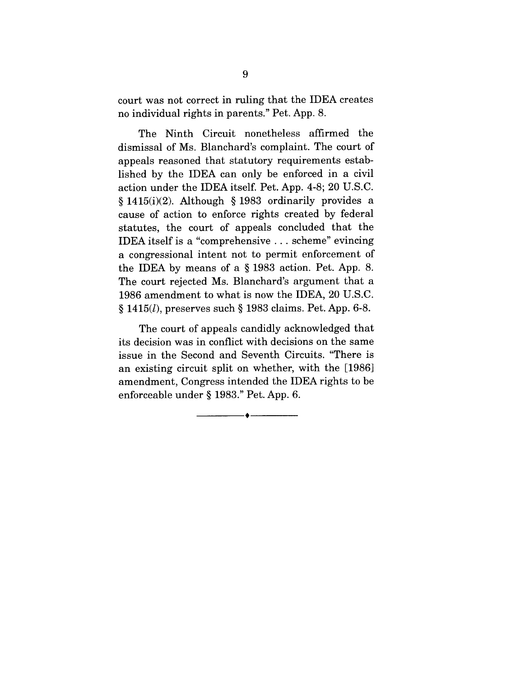court was not correct in ruling that the IDEA creates no individual rights in parents." Pet. App. 8.

The Ninth Circuit nonetheless affirmed the dismissal of Ms. Blanchard's complaint. The court of appeals reasoned that statutory requirements established by the IDEA can only be enforced in a civil action under the IDEA itself. Pet. App. 4-8; 20 U.S.C. § 1415(i)(2). Although § 1983 ordinarily provides a cause of action to enforce rights created by federal statutes, the court of appeals concluded that the IDEA itself is a "comprehensive ... scheme" evincing a congressional intent not to permit enforcement of the IDEA by means of a § 1983 action. Pet. App. 8. The court rejected Ms. Blanchard's argument that a 1986 amendment to what is now the IDEA, 20 U.S.C.  $§ 1415(l)$ , preserves such § 1983 claims. Pet. App. 6-8.

The court of appeals candidly acknowledged that its decision was in conflict with decisions on the same issue in the Second and Seventh Circuits. "There is an existing circuit split on whether, with the [1986] amendment, Congress intended the IDEA rights to be enforceable under § 1983." Pet. App. 6.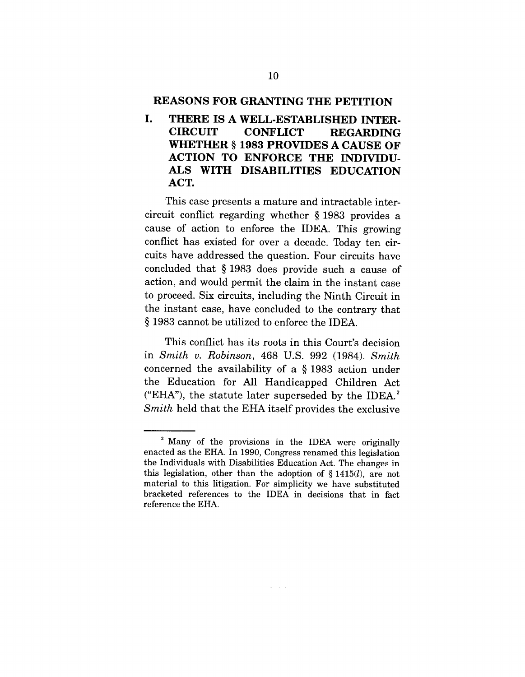#### **REASONS FOR GRANTING THE PETITION**

**I. THERE IS A WELL-ESTABLISHED INTER-CIRCUIT CONFLICT REGARDING WHETHER § 1983 PROVIDES A CAUSE OF ACTION TO ENFORCE THE INDIVIDU-ALS WITH DISABILITIES EDUCATION** ACT.

This case presents a mature and intractable intercircuit conflict regarding whether § 1983 provides a cause of action to enforce the IDEA. This growing conflict has existed for over a decade. Today ten circuits have addressed the question. Four circuits have concluded that § 1983 does provide such a cause of action, and would permit the claim in the instant case to proceed. Six circuits, including the Ninth Circuit in the instant case, have concluded to the contrary that § 1983 cannot be utilized to enforce the IDEA.

This conflict has its roots in this Court's decision in *Smith v. Robinson,* 468 U.S. 992 (1984). *Smith* concerned the availability of a § 1983 action under the Education for All Handicapped Children Act ("EHA"), the statute later superseded by the IDEA. $2$ *Smith* held that the EHA itself provides the exclusive

<sup>&</sup>lt;sup>2</sup> Many of the provisions in the IDEA were originally enacted as the EHA. In 1990, Congress renamed this legislation the Individuals with Disabilities Education Act. The changes in this legislation, other than the adoption of  $\S 1415(l)$ , are not material to this litigation. For simplicity we have substituted bracketed references to the IDEA in decisions that in fact reference the EHA.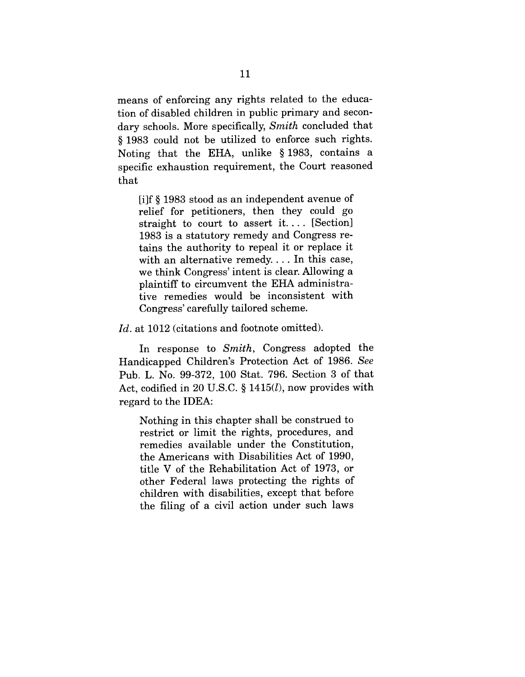means of enforcing any rights related to the education of disabled children in public primary and secondary schools. More specifically, *Smith* concluded that § 1983 could not be utilized to enforce such rights. Noting that the EHA, unlike § 1983, contains a specific exhaustion requirement, the Court reasoned that

[i]f § 1983 stood as an independent avenue of relief for petitioners, then they could go straight to court to assert it.... [Section] 1983 is a statutory remedy and Congress retains the authority to repeal it or replace it with an alternative remedy.... In this case, we think Congress' intent is clear. Allowing a plaintiff to circumvent the EHA administrative remedies would be inconsistent with Congress' carefully tailored scheme.

Id. at 1012 (citations and footnote omitted).

In response to *Smith,* Congress adopted the Handicapped Children's Protection Act of 1986. *See* Pub. L. No. 99-372, 100 Stat. 796. Section 3 of that Act, codified in 20 U.S.C.  $\S$  1415 $(l)$ , now provides with regard to the IDEA:

Nothing in this chapter shall be construed to restrict or limit the rights, procedures, and remedies available under the Constitution, the Americans with Disabilities Act of 1990, title V of the Rehabilitation Act of 1973, or other Federal laws protecting the rights of children with disabilities, except that before the filing of a civil action under such laws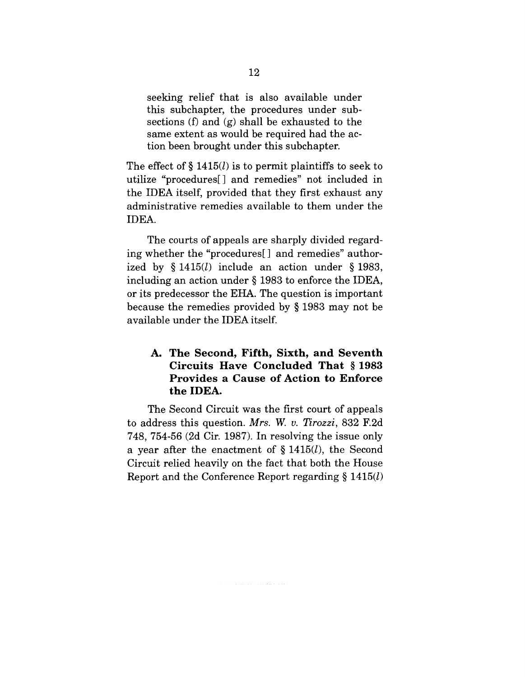seeking relief that is also available under this subchapter, the procedures under subsections (f) and (g) shall be exhausted to the same extent as would be required had the action been brought under this subchapter.

The effect of  $\S 1415(l)$  is to permit plaintiffs to seek to utilize "procedures[] and remedies" not included in the IDEA itself, provided that they first exhaust any administrative remedies available to them under the IDEA.

The courts of appeals are sharply divided regarding whether the "procedures[ ] and remedies" authorized by  $\S 1415(l)$  include an action under  $\S 1983$ , including an action under § 1983 to enforce the IDEA, or its predecessor the EHA. The question is important because the remedies provided by § 1983 may not be available under the IDEA itself.

## **A. The Second, Fifth, Sixth, and Seventh Circuits Have Concluded That § 1983 Provides a Cause of Action to Enforce the IDEA.**

The Second Circuit was the first court of appeals to address this question. *Mrs. W. v. Tirozzi,* 832 F.2d 748, 754-56 (2d Cir. 1987). In resolving the issue only a year after the enactment of  $\S 1415(l)$ , the Second Circuit relied heavily on the fact that both the House Report and the Conference Report regarding  $\S 1415(l)$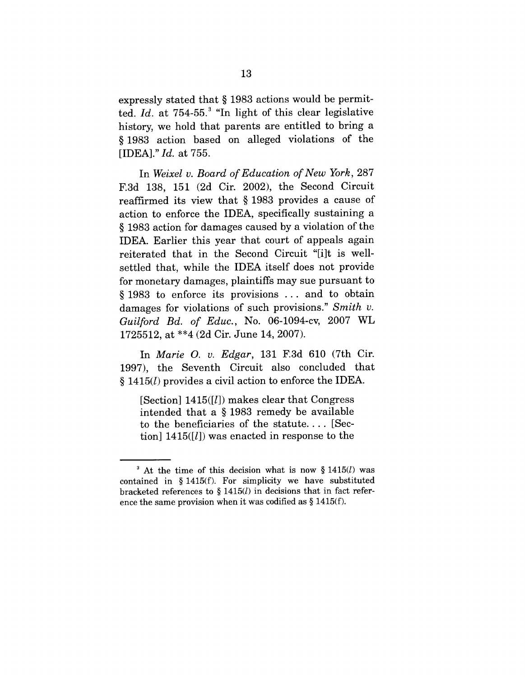expressly stated that § 1983 actions would be permitted. *Id.* at 754-55.<sup>3</sup> "In light of this clear legislative history, we hold that parents are entitled to bring a § 1983 action based on alleged violations of the [IDEA]." *Id.* at 755.

In *Weixel v. Board of Education of New York,* 287 F.3d 138, 151 (2d Cir. 2002), the Second Circuit reaffirmed its view that § 1983 provides a cause of action to enforce the IDEA, specifically sustaining a § 1983 action for damages caused by a violation of the IDEA. Earlier this year that court of appeals again reiterated that in the Second Circuit "[i]t is wellsettled that, while the IDEA itself does not provide for monetary damages, plaintiffs may sue pursuant to § 1983 to enforce its provisions ... and to obtain damages for violations of such provisions." *Smith v. Guilford Bd. of Educ.,* No. 06-1094-cv, 2007 WL 1725512, at \*\*4 (2d Cir. June 14, 2007).

In *Marie O. v. Edgar,* 131 F.3d 610 (7th Cir. 1997), the Seventh Circuit also concluded that § 1415(/) provides a civil action to enforce the IDEA.

[Section]  $1415$ <sup>[[]</sup>]) makes clear that Congress intended that a § 1983 remedy be available to the beneficiaries of the statute.... [Section]  $1415(l)$  was enacted in response to the

 $3$  At the time of this decision what is now § 1415(*l*) was contained in § 1415(f). For simplicity we have substituted bracketed references to  $\S 1415(l)$  in decisions that in fact reference the same provision when it was codified as  $\S 1415(f)$ .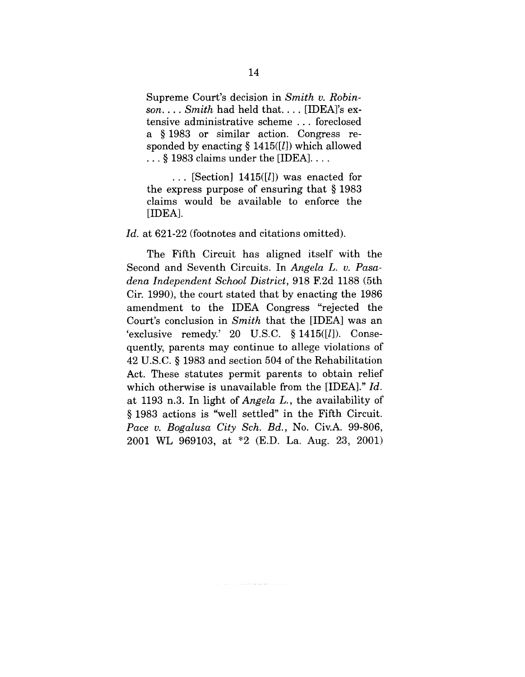Supreme Court's decision in *Smith v. Robinson .... Smith* had held that .... [IDEA]'s extensive administrative scheme ... foreclosed a § 1983 or similar action. Congress responded by enacting  $\S 1415([l])$  which allowed  $\dots$  § 1983 claims under the [IDEA].  $\dots$ 

 $\ldots$  [Section] 1415([*l*]) was enacted for the express purpose of ensuring that § 1983 claims would be available to enforce the [IDEA].

#### Id. at 621-22 (footnotes and citations omitted).

The Fifth Circuit has aligned itself with the Second and Seventh Circuits. In *Angela L. v. Pasadena Independent School District,* 918 F.2d 1188 (5th Cir. 1990), the court stated that by enacting the 1986 amendment to the IDEA Congress "rejected the Court's conclusion in *Smith* that the [IDEA] was an 'exclusive remedy.' 20 U.S.C.  $\S 1415([l])$ . Consequently, parents may continue to allege violations of 42 U.S.C. § 1983 and section 504 of the Rehabilitation Act. These statutes permit parents to obtain relief which otherwise is unavailable from the [IDEA]." *Id.* at 1193 n.3. In light of *Angela L.,* the availability of § 1983 actions is "well settled" in the Fifth Circuit. *Pace v. Bogalusa City Sch. Bd.,* No. Civ.A. 99-806, 2001 WL 969103, at \*2 (E.D. La. Aug. 23, 2001)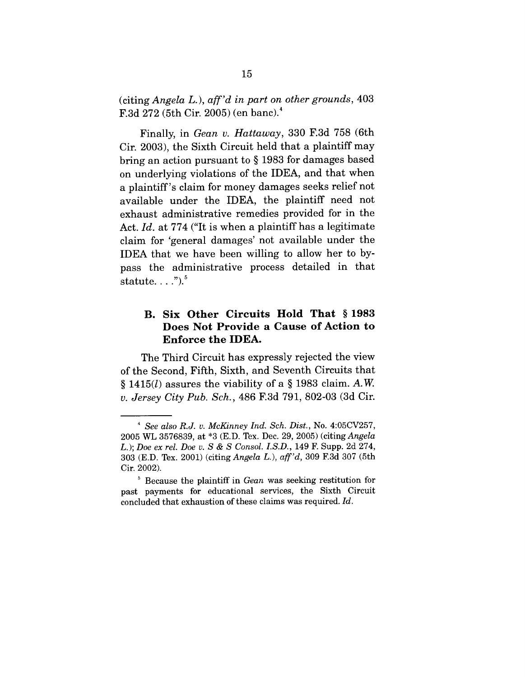(citing *Angela* L.), *aff'd in part on other grounds,* 403 F.3d  $272$  (5th Cir. 2005) (en banc).<sup>4</sup>

Finally, in *Gean v. Hattaway,* 330 F.3d 758 (6th Cir. 2003), the Sixth Circuit held that a plaintiff may bring an action pursuant to § 1983 for damages based on underlying violations of the IDEA, and that when a plaintiff's claim for money damages seeks relief not available under the IDEA, the plaintiff need not exhaust administrative remedies provided for in the Act. *Id.* at 774 ("It is when a plaintiff has a legitimate claim for 'general damages' not available under the IDEA that we have been willing to allow her to bypass the administrative process detailed in that statute...." $)$ .

## **B. Six Other Circuits Hold That § 1983 Does Not Provide a Cause of Action to Enforce the IDEA.**

The Third Circuit has expressly rejected the view of the Second, Fifth, Sixth, and Seventh Circuits that § 1415 $(l)$  assures the viability of a § 1983 claim. A.W. *v. Jersey City Pub. Sch.,* 486 F.3d 791, 802-03 (3d Cir.

*<sup>4</sup> See also R.J.v. McKinney Ind. Sch. Dist.,* No. 4:05CV257, 2005 WL 3576839, at \*3 (E.D. Tex. Dec. 29, 2005) (citing *Angela* L.); *Doe ex rel. Doe v. S & S Consol. I.S.D.,* 149 F. Supp. 2d 274, 303 (E.D. Tex. 2001) (citing *Angela L.), aft'd,* 309 F.3d 307 (5th Cir. 2002).

<sup>5</sup> Because the plaintiff in *Gean* was seeking restitution for past payments for educational services, the Sixth Circuit concluded that exhaustion of these claims was required. *Id.*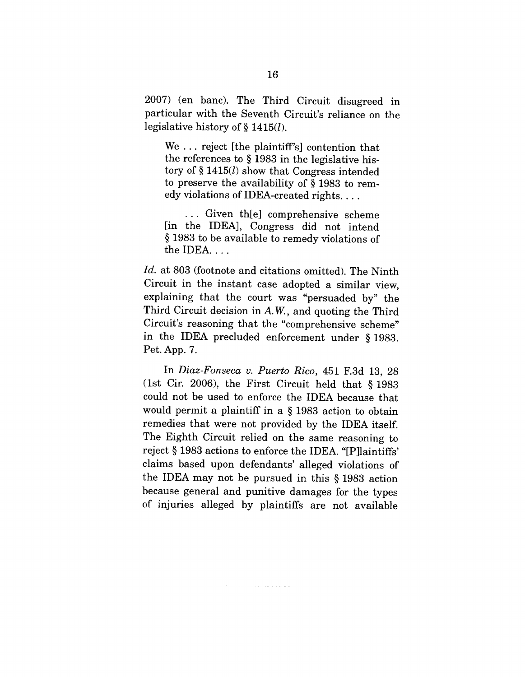2007) (en banc). The Third Circuit disagreed in particular with the Seventh Circuit's reliance on the legislative history of § 1415(/).

We ... reject [the plaintiff's] contention that the references to § 1983 in the legislative history of  $\S 1415(l)$  show that Congress intended to preserve the availability of § 1983 to remedy violations of IDEA-created rights....

... Given th[e] comprehensive scheme [in the IDEA], Congress did not intend § 1983 to be available to remedy violations of the IDEA....

*Id.* at 803 (footnote and citations omitted). The Ninth Circuit in the instant case adopted a similar view, explaining that the court was "persuaded by" the Third Circuit decision in A.W., and quoting the Third Circuit's reasoning that the "comprehensive scheme" in the IDEA precluded enforcement under § 1983. Pet. App. 7.

In *Diaz-Fonseca v. Puerto Rico,* 451 F.3d 13, 28 (1st Cir. 2006), the First Circuit held that § 1983 could not be used to enforce the IDEA because that would permit a plaintiff in a § 1983 action to obtain remedies that were not provided by the IDEA itself. The Eighth Circuit relied on the same reasoning to reject § 1983 actions to enforce the IDEA. "[P]laintiffs' claims based upon defendants' alleged violations of the IDEA may not be pursued in this § 1983 action because general and punitive damages for the types of injuries alleged by plaintiffs are not available

 $\langle \tau_{\rm{max}} \rangle = \langle \tau_{\rm{max}} \rangle \langle \tau_{\rm{max}} \rangle$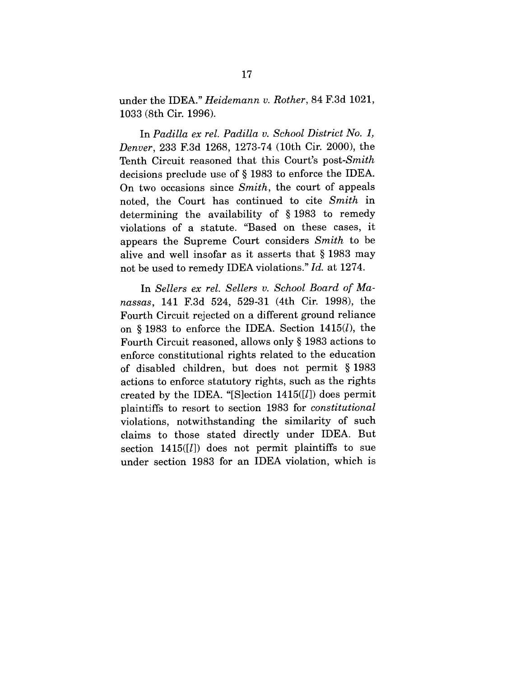under the IDEA." *Heidemann v. Rother,* 84 F.3d 1021, 1033 (8th Cir. 1996).

In *Padilla ex rel. Padilla v. School District No. 1, Denver,* 233 F.3d 1268, 1273-74 (10th Cir. 2000), the Tenth Circuit reasoned that this Court's *post-Smith* decisions preclude use of § 1983 to enforce the IDEA. On two occasions since *Smith,* the court of appeals noted, the Court has continued to cite *Smith* in determining the availability of § 1983 to remedy violations of a statute. "Based on these cases, it appears the Supreme Court considers *Smith* to be alive and well insofar as it asserts that § 1983 may not be used to remedy IDEA violations." *Id.* at 1274.

In *Sellers ex rel. Sellers v. School Board of Manassas,* 141 F.3d 524, 529-31 (4th Cir. 1998), the Fourth Circuit rejected on a different ground reliance on § 1983 to enforce the IDEA. Section  $1415(l)$ , the Fourth Circuit reasoned, allows only § 1983 actions to enforce constitutional rights related to the education of disabled children, but does not permit § 1983 actions to enforce statutory rights, such as the rights created by the IDEA. "[S]ection  $1415([l])$  does permit plaintiffs to resort to section 1983 for *constitutional* violations, notwithstanding the similarity of such claims to those stated directly under IDEA. But section  $1415([l])$  does not permit plaintiffs to sue under section 1983 for an IDEA violation, which is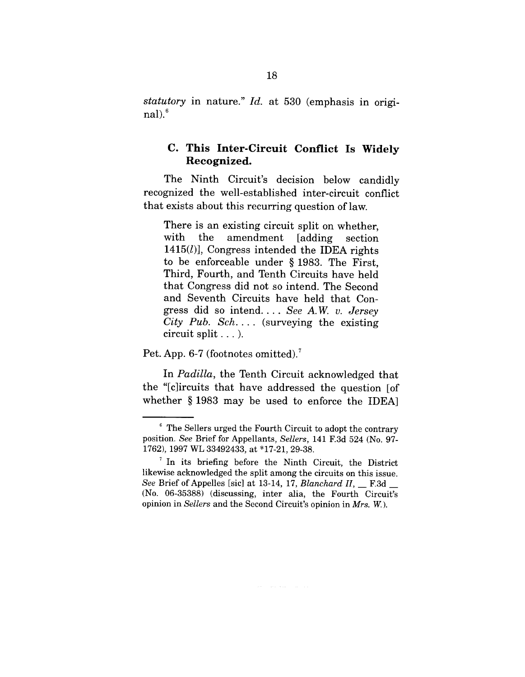*statutory* in nature." *Id.* at 530 (emphasis in original $).<sup>6</sup>$ 

### **C. This Inter-Circuit Conflict Is Widely Recognized.**

The Ninth Circuit's decision below candidly recognized the well-established inter-circuit conflict that exists about this recurring question of law.

There is an existing circuit split on whether, with the amendment [adding] section  $1415(l)$ ], Congress intended the IDEA rights to be enforceable under § 1983. The First, Third, Fourth, and Tenth Circuits have held that Congress did not so intend. The Second and Seventh Circuits have held that Congress did so intend ....*See A.W.v. Jersey City Pub. Sch ....* (surveying the existing circuit split... ).

Pet. App. 6-7 (footnotes omitted).<sup>7</sup>

In *Padilla,* the Tenth Circuit acknowledged that the "[c]ircuits that have addressed the question [of whether § 1983 may be used to enforce the IDEA]

<sup>~</sup> The Sellers urged the Fourth Circuit to adopt the contrary position. *See* Brief for Appellants, *Sellers,* 141 F.3d 524 (No. 97- 1762), 1997 WL 33492433, at \*17-21, 29-38.

<sup>&</sup>lt;sup>7</sup> In its briefing before the Ninth Circuit, the District likewise acknowledged the split among the circuits on this issue. *See* Brief of Appelles [sic] at 13-14, 17, *Blanchard H, \_\_* F.3d \_\_ (No. 06-35388) (discussing, inter alia, the Fourth Circuit's opinion in *Sellers* and the Second Circuit's opinion in *Mrs. W.).*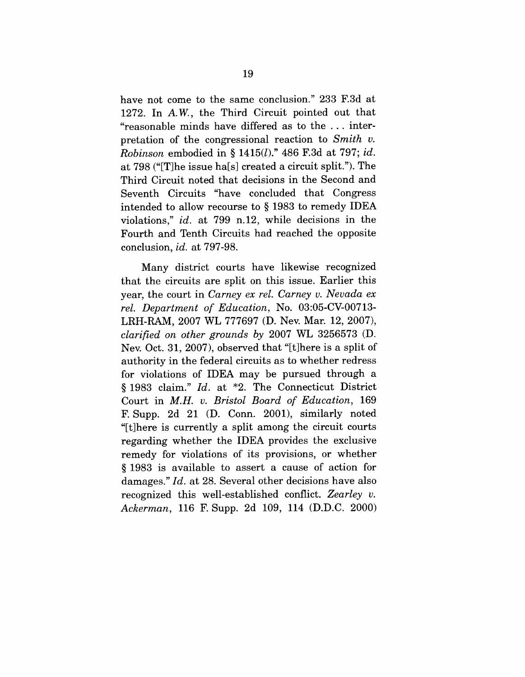have not come to the same conclusion." 233 F.3d at 1272. In A.W., the Third Circuit pointed out that "reasonable minds have differed as to the ... interpretation of the congressional reaction to *Smith v. Robinson* embodied in § 1415(/)." 486 F.3d at 797; *id.* at 798 ("[T]he issue ha[s] created a circuit split."). The Third Circuit noted that decisions in the Second and Seventh Circuits "have concluded that Congress intended to allow recourse to § 1983 to remedy IDEA violations," *id.* at 799 n.12, while decisions in the Fourth and Tenth Circuits had reached the opposite conclusion, *id.* at 797-98.

Many district courts have likewise recognized that the circuits are split on this issue. Earlier this year, the court in *Carney ex rel. Carney v. Nevada ex rel. Department of Education,* No. 03:05-CV-00713- LRH-RAM, 2007 WL 777697 (D. Nev. Mar. 12, 2007), *clarified on other grounds by* 2007 WL 3256573 (D. Nev. Oct. 31, 2007), observed that "[t]here is a split of authority in the federal circuits as to whether redress for violations of IDEA may be pursued through a § 1983 claim." *Id.* at \*2. The Connecticut District Court in *M.H. v. Bristol Board of Education,* 169 F. Supp. 2d 21 (D. Conn. 2001), similarly noted "[t]here is currently a split among the circuit courts regarding whether the IDEA provides the exclusive remedy for violations of its provisions, or whether § 1983 is available to assert a cause of action for damages." *Id.* at 28. Several other decisions have also recognized this well-established conflict. *Zearley v. Ackerman,* 116 F. Supp. 2d 109, 114 (D.D.C. 2000)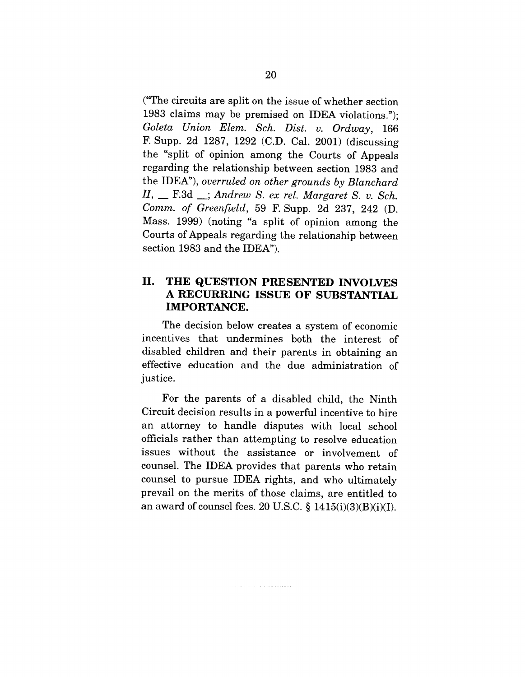("The circuits are split on the issue of whether section 1983 claims may be premised on IDEA violations."); *Goleta Union Elem. Sch. Dist. v. Ordway,* 166 F. Supp. 2d 1287, 1292 (C.D. Cal. 2001) (discussing the "split of opinion among the Courts of Appeals regarding the relationship between section 1983 and the IDEA"), *overruled on other grounds by Blanchard* H, \_\_ F.3d \_\_; *Andrew S. ex rel. Margaret S. v. Sch. Comm. of Greenfield,* 59 F. Supp. 2d 237, 242 (D. Mass. 1999) (noting "a split of opinion among the Courts of Appeals regarding the relationship between section 1983 and the IDEA").

## II. **THE QUESTION PRESENTED INVOLVES A RECURRING ISSUE OF SUBSTANTIAL IMPORTANCE.**

The decision below creates a system of economic incentives that undermines both the interest of disabled children and their parents in obtaining an effective education and the due administration of justice.

For the parents of a disabled child, the Ninth Circuit decision results in a powerful incentive to hire an attorney to handle disputes with local school officials rather than attempting to resolve education issues without the assistance or involvement of counsel. The IDEA provides that parents who retain counsel to pursue IDEA rights, and who ultimately prevail on the merits of those claims, are entitled to an award of counsel fees. 20 U.S.C.  $\S$  1415(i)(3)(B)(i)(I).

and the contract of the contract person and the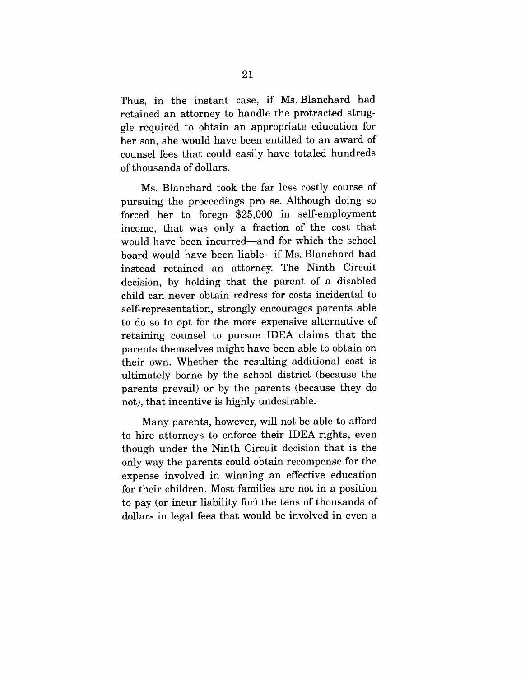Thus, in the instant case, if Ms. Blanchard had retained an attorney to handle the protracted struggle required to obtain an appropriate education for her son, she would have been entitled to an award of counsel fees that could easily have totaled hundreds of thousands of dollars.

Ms. Blanchard took the far less costly course of pursuing the proceedings pro se. Although doing so forced her to forego \$25,000 in self-employment income, that was only a fraction of the cost that would have been incurred—and for which the school board would have been liable--if Ms. Blanchard had instead retained an attorney. The Ninth Circuit decision, by holding that the parent of a disabled child can never obtain redress for costs incidental to self-representation, strongly encourages parents able to do so to opt for the more expensive alternative of retaining counsel to pursue IDEA claims that the parents themselves might have been able to obtain on their own. Whether the resulting additional cost is ultimately borne by the school district (because the parents prevail) or by the parents (because they do not), that incentive is highly undesirable.

Many parents, however, will not be able to afford to hire attorneys to enforce their IDEA rights, even though under the Ninth Circuit decision that is the only way the parents could obtain recompense for the expense involved in winning an effective education for their children. Most families are not in a position to pay (or incur liability for) the tens of thousands of dollars in legal fees that would be involved in even a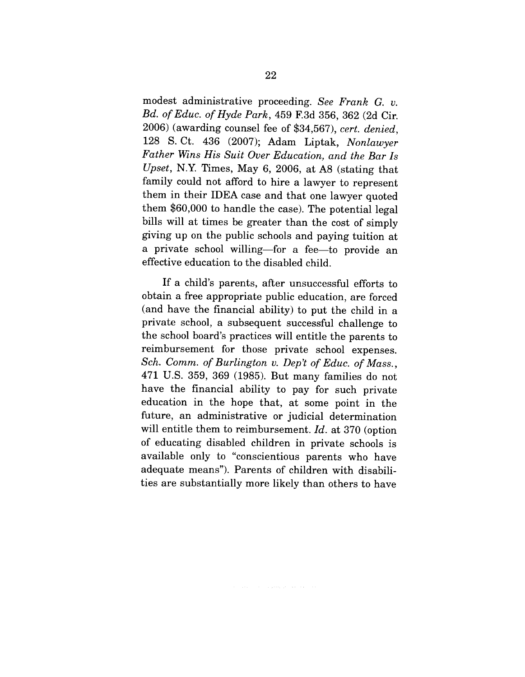modest administrative proceeding. *See Frank G. v. Bd. of Educ. of Hyde Park,* 459 F.3d 356, 362 (2d Cir. 2006) (awarding counsel fee of \$34,567), *cert. denied,* 128 S. Ct. 436 (2007); Adam Liptak, *Nonlawyer Father Wins His Suit Over Education, and the Bar Is Upset,* N.Y. Times, May 6, 2006, at A8 (stating that family could not afford to hire a lawyer to represent them in their IDEA case and that one lawyer quoted them \$60,000 to handle the case). The potential legal bills will at times be greater than the cost of simply giving up on the public schools and paying tuition at a private school willing-for a fee-to provide an effective education to the disabled child.

If a child's parents, after unsuccessful efforts to obtain a free appropriate public education, are forced (and have the financial ability) to put the child in a private school, a subsequent successful challenge to the school board's practices will entitle the parents to reimbursement for those private school expenses. *Sch. Comm. of Burlington v. Dep't of Educ. of Mass.,* 471 U.S. 359, 369 (1985). But many families do not have the financial ability to pay for such private education in the hope that, at some point in the future, an administrative or judicial determination will entitle them to reimbursement. *Id.* at 370 (option of educating disabled children in private schools is available only to "conscientious parents who have adequate means"). Parents of children with disabilities are substantially more likely than others to have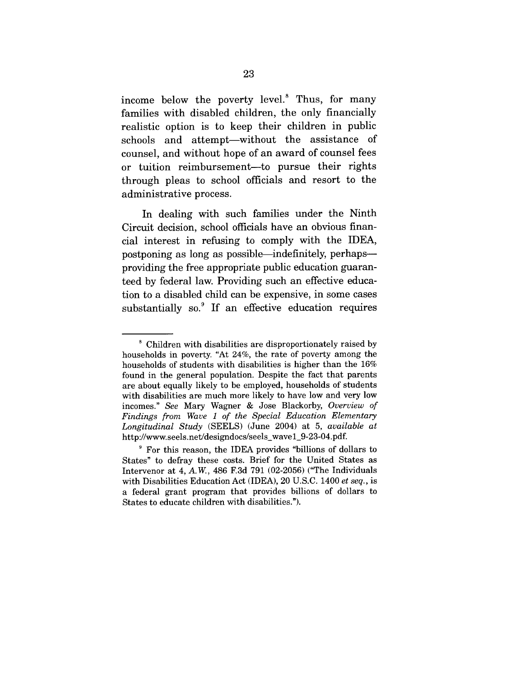income below the poverty level.<sup>8</sup> Thus, for many families with disabled children, the only financially realistic option is to keep their children in public schools and attempt—without the assistance of counsel, and without hope of an award of counsel fees or tuition reimbursement--to pursue their rights through pleas to school officials and resort to the administrative process.

In dealing with such families under the Ninth Circuit decision, school officials have an obvious financial interest in refusing to comply with the IDEA, postponing as long as possible—indefinitely, perhaps providing the free appropriate public education guaranteed by federal law. Providing such an effective education to a disabled child can be expensive, in some cases substantially so.<sup>9</sup> If an effective education requires

<sup>8</sup> Children with disabilities are disproportionately raised by households in poverty. "At 24%, the rate of poverty among the households of students with disabilities is higher than the 16% found in the general population. Despite the fact that parents are about equally likely to be employed, households of students with disabilities are much more likely to have low and very low incomes." *See* Mary Wagner & Jose Blackorby, *Overview of Findings from Wave 1 of the Special Education Elementary Longitudinal Study* (SEELS) (June 2004) at 5, *available at* http://www.seels.net/designdocs/seels\_wave l\_9-23-04.pdf.

<sup>8</sup> For this reason, the IDEA provides "billions of dollars to States" to defray these costs. Brief for the United States as Intervenor at 4, A.W., 486 F.3d 791 (02-2056) ("The Individuals with Disabilities Education Act (IDEA), 20 U.S.C. 1400 *et seq.,* is a federal grant program that provides billions of dollars to States to educate children with disabilities.").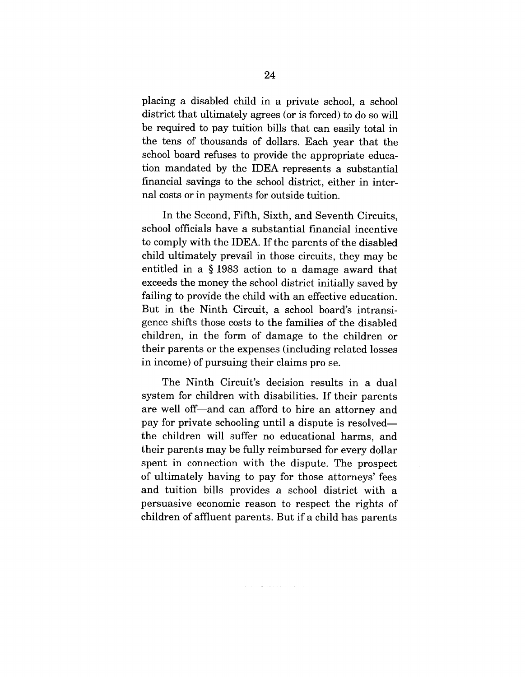placing a disabled child in a private school, a school district that ultimately agrees (or is forced) to do so will be required to pay tuition bills that can easily total in the tens of thousands of dollars. Each year that the school board refuses to provide the appropriate education mandated by the IDEA represents a substantial financial savings to the school district, either in internal costs or in payments for outside tuition.

In the Second, Fifth, Sixth, and Seventh Circuits, school officials have a substantial financial incentive to comply with the IDEA. If the parents of the disabled child ultimately prevail in those circuits, they may be entitled in a § 1983 action to a damage award that exceeds the money the school district initially saved by failing to provide the child with an effective education. But in the Ninth Circuit, a school board's intransigence shifts those costs to the families of the disabled children, in the form of damage to the children or their parents or the expenses (including related losses in income) of pursuing their claims pro se.

The Ninth Circuit's decision results in a dual system for children with disabilities. If their parents are well off-and can afford to hire an attorney and pay for private schooling until a dispute is resolvedthe children will suffer no educational harms, and their parents may be fully reimbursed for every dollar spent in connection with the dispute. The prospect of ultimately having to pay for those attorneys' fees and tuition bills provides a school district with a persuasive economic reason to respect the rights of children of affluent parents. But if a child has parents

أأفراد الأرابي والمتواط المتعرفة فليراد والمراد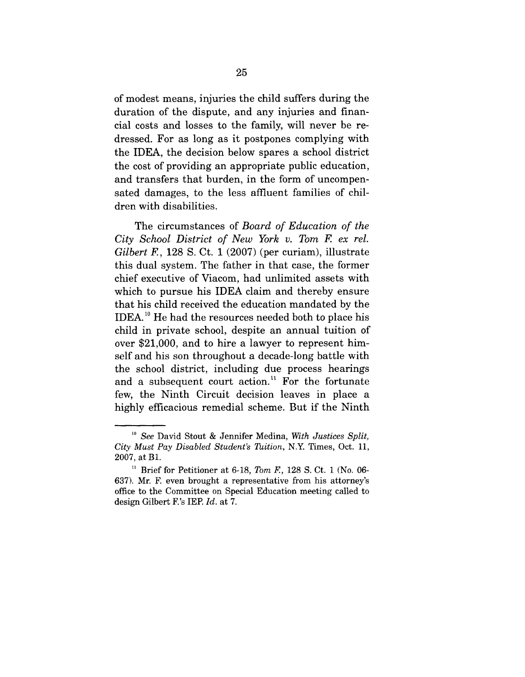of modest means, injuries the child suffers during the duration of the dispute, and any injuries and financial costs and losses to the family, will never be redressed. For as long as it postpones complying with the IDEA, the decision below spares a school district the cost of providing an appropriate public education, and transfers that burden, in the form of uncompensated damages, to the less affluent families of children with disabilities.

The circumstances of *Board of Education of the City School District of New York v. Tom F. ex rel. Gilbert* E, 128 S. Ct. 1 (2007) (per curiam), illustrate this dual system. The father in that case, the former chief executive of Viacom, had unlimited assets with which to pursue his IDEA claim and thereby ensure that his child received the education mandated by the IDEA.l° He had the resources needed both to place his child in private school, despite an annual tuition of over \$21,000, and to hire a lawyer to represent himself and his son throughout a decade-long battle with the school district, including due process hearings and a subsequent court action.<sup>11</sup> For the fortunate few, the Ninth Circuit decision leaves in place a highly efficacious remedial scheme. But if the Ninth

*<sup>~</sup>o See* David Stout & Jennifer Medina, *With Justices Split, City Must Pay Disabled Student's Tuition,* N.Y. Times, Oct. 11, 2007, at B1.

<sup>11</sup> Brief for Petitioner at 6-18, *Tom* F., 128 S. Ct. 1 (No. 06- 637). Mr. F. even brought a representative from his attorney's office to the Committee on Special Education meeting called to design Gilbert F.'s IEP. *Id.* at 7.